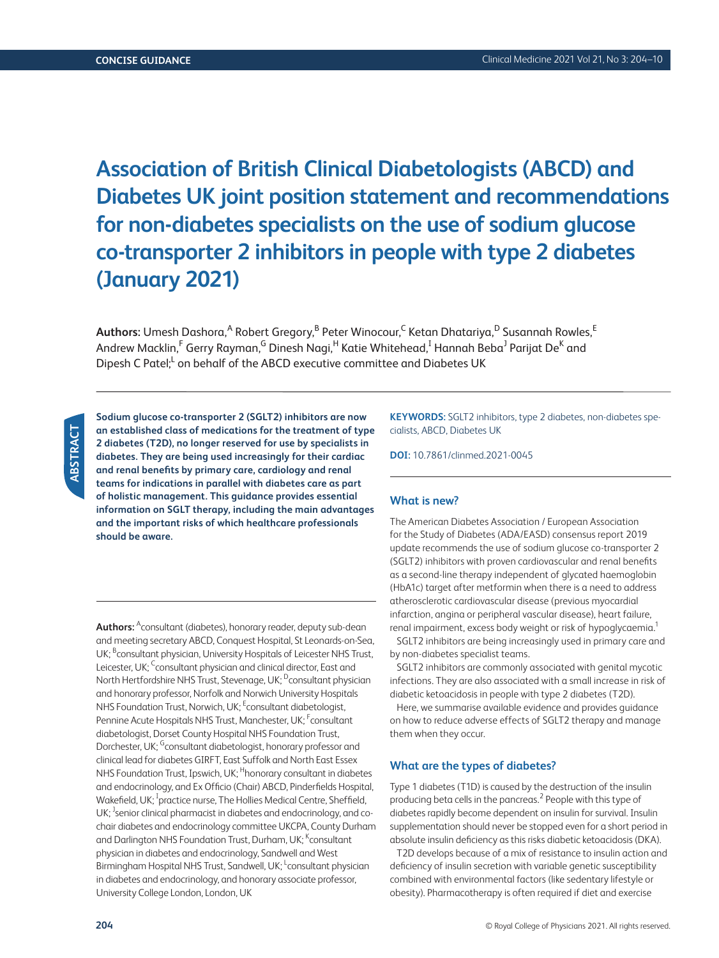# **Association of British Clinical Diabetologists (ABCD) and Diabetes UK joint position statement and recommendations for non-diabetes specialists on the use of sodium glucose co-transporter 2 inhibitors in people with type 2 diabetes (January 2021)**

 $\mathsf{Aut}$ hors: Umesh Dashora, $^\mathsf{A}$  Robert Gregory, $^\mathsf{B}$  Peter Winocour, $^\mathsf{C}$  Ketan Dhatariya, $^\mathsf{D}$  Susannah Rowles, $^\mathsf{E}$ Andrew Macklin,<sup>F</sup> Gerry Rayman,<sup>G</sup> Dinesh Nagi,<sup>H</sup> Katie Whitehead,<sup>I</sup> Hannah Beba<sup>J</sup> Parijat De<sup>K</sup> and Dipesh C Patel;<sup>L</sup> on behalf of the ABCD executive committee and Diabetes UK

**Sodium glucose co-transporter 2 (SGLT2) inhibitors are now an established class of medications for the treatment of type 2 diabetes (T2D), no longer reserved for use by specialists in diabetes. They are being used increasingly for their cardiac and renal benefits by primary care, cardiology and renal teams for indications in parallel with diabetes care as part of holistic management. This guidance provides essential information on SGLT therapy, including the main advantages and the important risks of which healthcare professionals should be aware.**

**Authors:** <sup>A</sup>consultant (diabetes), honorary reader, deputy sub-dean and meeting secretary ABCD, Conquest Hospital, St Leonards-on-Sea, UK; <sup>B</sup>consultant physician, University Hospitals of Leicester NHS Trust, Leicester, UK; <sup>C</sup>consultant physician and clinical director, East and North Hertfordshire NHS Trust, Stevenage, UK; <sup>D</sup>consultant physician and honorary professor, Norfolk and Norwich University Hospitals NHS Foundation Trust, Norwich, UK; <sup>E</sup>consultant diabetologist, Pennine Acute Hospitals NHS Trust, Manchester, UK; <sup>F</sup>consultant diabetologist, Dorset County Hospital NHS Foundation Trust, Dorchester, UK; <sup>G</sup>consultant diabetologist, honorary professor and clinical lead for diabetes GIRFT, East Suffolk and North East Essex NHS Foundation Trust, Ipswich, UK; <sup>H</sup>honorary consultant in diabetes and endocrinology, and Ex Officio (Chair) ABCD, Pinderfields Hospital, Wakefield, UK; <sup>I</sup>practice nurse, The Hollies Medical Centre, Sheffield, UK; <sup>J</sup>senior clinical pharmacist in diabetes and endocrinology, and cochair diabetes and endocrinology committee UKCPA, County Durham and Darlington NHS Foundation Trust, Durham, UK; <sup>K</sup>consultant physician in diabetes and endocrinology, Sandwell and West Birmingham Hospital NHS Trust, Sandwell, UK; <sup>L</sup>consultant physician in diabetes and endocrinology, and honorary associate professor, University College London, London, UK

**KEYWORDS:** SGLT2 inhibitors, type 2 diabetes, non-diabetes specialists, ABCD, Diabetes UK

**DOI:** 10.7861/clinmed.2021-0045

## **What is new?**

The American Diabetes Association / European Association for the Study of Diabetes (ADA/EASD) consensus report 2019 update recommends the use of sodium glucose co-transporter 2 (SGLT2) inhibitors with proven cardiovascular and renal benefits as a second-line therapy independent of glycated haemoglobin (HbA1c) target after metformin when there is a need to address atherosclerotic cardiovascular disease (previous myocardial infarction, angina or peripheral vascular disease), heart failure, renal impairment, excess body weight or risk of hypoglycaemia.<sup>1</sup>

SGLT2 inhibitors are being increasingly used in primary care and by non-diabetes specialist teams.

SGLT2 inhibitors are commonly associated with genital mycotic infections. They are also associated with a small increase in risk of diabetic ketoacidosis in people with type 2 diabetes (T2D).

Here, we summarise available evidence and provides guidance on how to reduce adverse effects of SGLT2 therapy and manage them when they occur.

## **What are the types of diabetes?**

Type 1 diabetes (T1D) is caused by the destruction of the insulin producing beta cells in the pancreas.<sup>2</sup> People with this type of diabetes rapidly become dependent on insulin for survival. Insulin supplementation should never be stopped even for a short period in absolute insulin deficiency as this risks diabetic ketoacidosis (DKA).

T2D develops because of a mix of resistance to insulin action and deficiency of insulin secretion with variable genetic susceptibility combined with environmental factors (like sedentary lifestyle or obesity). Pharmacotherapy is often required if diet and exercise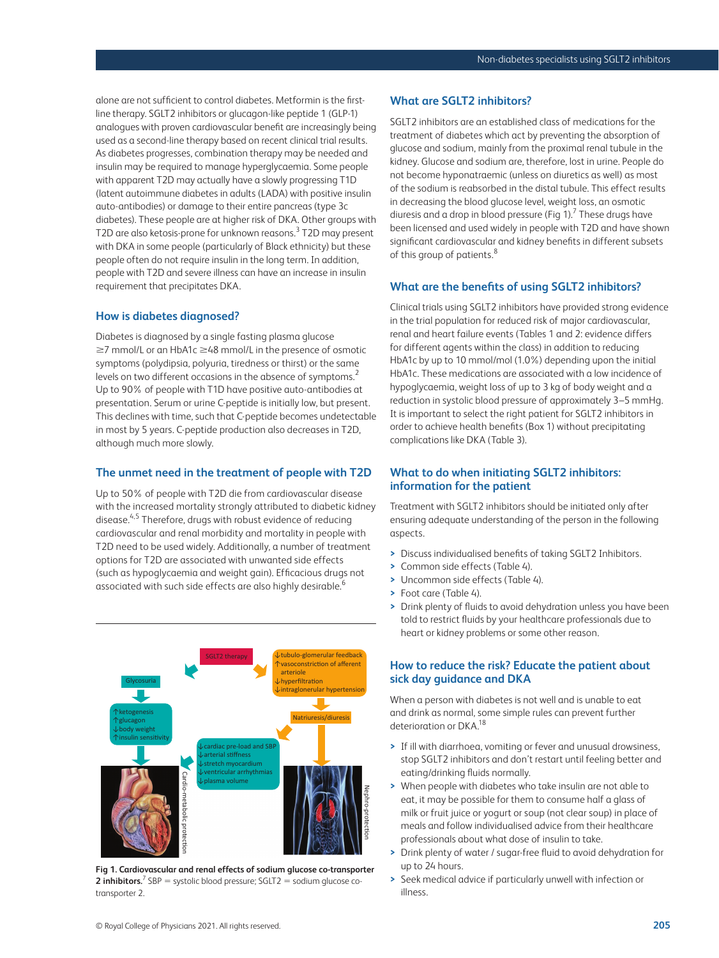alone are not sufficient to control diabetes. Metformin is the firstline therapy. SGLT2 inhibitors or glucagon-like peptide 1 (GLP-1) analogues with proven cardiovascular benefit are increasingly being used as a second-line therapy based on recent clinical trial results. As diabetes progresses, combination therapy may be needed and insulin may be required to manage hyperglycaemia. Some people with apparent T2D may actually have a slowly progressing T1D (latent autoimmune diabetes in adults (LADA) with positive insulin auto-antibodies) or damage to their entire pancreas (type 3c diabetes). These people are at higher risk of DKA. Other groups with T2D are also ketosis-prone for unknown reasons.<sup>3</sup> T2D may present with DKA in some people (particularly of Black ethnicity) but these people often do not require insulin in the long term. In addition, people with T2D and severe illness can have an increase in insulin requirement that precipitates DKA.

## **How is diabetes diagnosed?**

Diabetes is diagnosed by a single fasting plasma glucose ≥7 mmol/L or an HbA1c ≥48 mmol/L in the presence of osmotic symptoms (polydipsia, polyuria, tiredness or thirst) or the same levels on two different occasions in the absence of symptoms.<sup>2</sup> Up to 90% of people with T1D have positive auto-antibodies at presentation. Serum or urine C-peptide is initially low, but present. This declines with time, such that C-peptide becomes undetectable in most by 5 years. C-peptide production also decreases in T2D, although much more slowly.

#### **The unmet need in the treatment of people with T2D**

Up to 50% of people with T2D die from cardiovascular disease with the increased mortality strongly attributed to diabetic kidney disease.<sup>4,5</sup> Therefore, drugs with robust evidence of reducing cardiovascular and renal morbidity and mortality in people with T2D need to be used widely. Additionally, a number of treatment options for T2D are associated with unwanted side effects (such as hypoglycaemia and weight gain). Efficacious drugs not associated with such side effects are also highly desirable.<sup>6</sup>



**Fig 1. Cardiovascular and renal effects of sodium glucose co-transporter 2 inhibitors.**<sup>7</sup> SBP = systolic blood pressure; SGLT2 = sodium glucose cotransporter 2.

# **What are SGLT2 inhibitors?**

SGLT2 inhibitors are an established class of medications for the treatment of diabetes which act by preventing the absorption of glucose and sodium, mainly from the proximal renal tubule in the kidney. Glucose and sodium are, therefore, lost in urine. People do not become hyponatraemic (unless on diuretics as well) as most of the sodium is reabsorbed in the distal tubule. This effect results in decreasing the blood glucose level, weight loss, an osmotic diuresis and a drop in blood pressure (Fig 1).<sup>7</sup> These drugs have been licensed and used widely in people with T2D and have shown significant cardiovascular and kidney benefits in different subsets of this group of patients.<sup>8</sup>

## **What are the benefits of using SGLT2 inhibitors?**

Clinical trials using SGLT2 inhibitors have provided strong evidence in the trial population for reduced risk of major cardiovascular, renal and heart failure events (Tables 1 and 2: evidence differs for different agents within the class) in addition to reducing HbA1c by up to 10 mmol/mol (1.0%) depending upon the initial HbA1c. These medications are associated with a low incidence of hypoglycaemia, weight loss of up to 3 kg of body weight and a reduction in systolic blood pressure of approximately 3–5 mmHg. It is important to select the right patient for SGLT2 inhibitors in order to achieve health benefits (Box 1) without precipitating complications like DKA (Table 3).

# **What to do when initiating SGLT2 inhibitors: information for the patient**

Treatment with SGLT2 inhibitors should be initiated only after ensuring adequate understanding of the person in the following aspects.

- **>** Discuss individualised benefits of taking SGLT2 Inhibitors.
- **>** Common side effects (Table 4).
- **>** Uncommon side effects (Table 4).
- **>** Foot care (Table 4).
- **>** Drink plenty of fluids to avoid dehydration unless you have been told to restrict fluids by your healthcare professionals due to heart or kidney problems or some other reason.

# **How to reduce the risk? Educate the patient about sick day guidance and DKA**

When a person with diabetes is not well and is unable to eat and drink as normal, some simple rules can prevent further deterioration or DKA.<sup>18</sup>

- **>** If ill with diarrhoea, vomiting or fever and unusual drowsiness, stop SGLT2 inhibitors and don't restart until feeling better and eating/drinking fluids normally.
- **>** When people with diabetes who take insulin are not able to eat, it may be possible for them to consume half a glass of milk or fruit juice or yogurt or soup (not clear soup) in place of meals and follow individualised advice from their healthcare professionals about what dose of insulin to take.
- **>** Drink plenty of water / sugar-free fluid to avoid dehydration for up to 24 hours.
- **>** Seek medical advice if particularly unwell with infection or illness.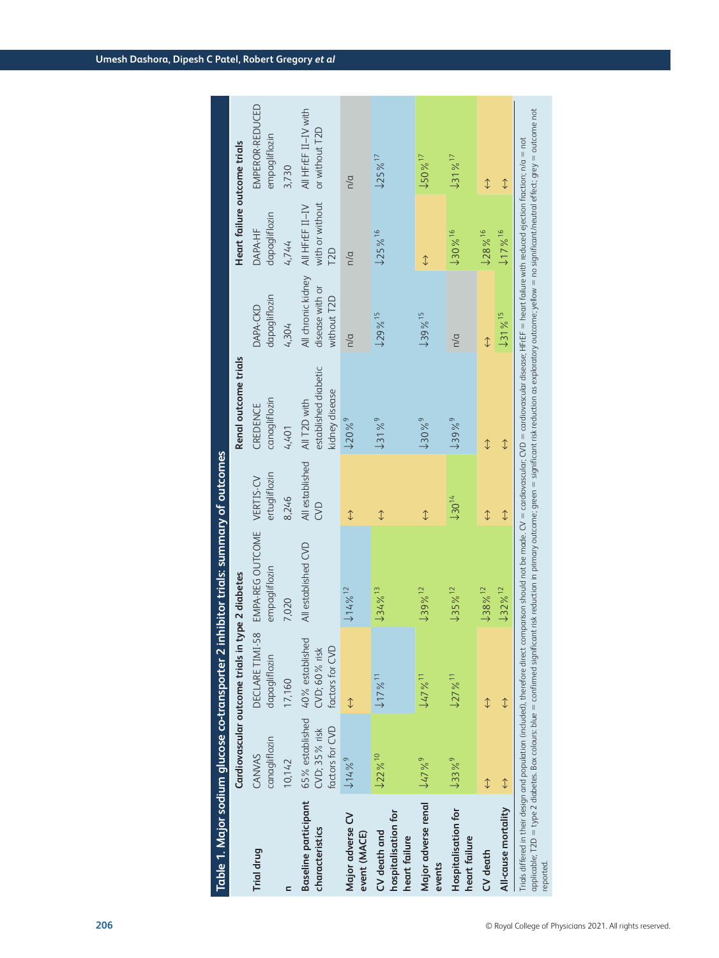| Table 1. Major sodium glucose co-transporter 2       |                                                     |                                                     | inhibitor trials: summary of outcomes                                                                                                                                                                                                                                                                                                                                                                                                                           |                            |                                                        |                                                      |                                                        |                                        |
|------------------------------------------------------|-----------------------------------------------------|-----------------------------------------------------|-----------------------------------------------------------------------------------------------------------------------------------------------------------------------------------------------------------------------------------------------------------------------------------------------------------------------------------------------------------------------------------------------------------------------------------------------------------------|----------------------------|--------------------------------------------------------|------------------------------------------------------|--------------------------------------------------------|----------------------------------------|
|                                                      | Cardiovascular outcome trials in                    |                                                     | type 2 diabetes                                                                                                                                                                                                                                                                                                                                                                                                                                                 |                            | Renal outcome trials                                   |                                                      | Heart failure outcome trials                           |                                        |
| Trial drug                                           | canagliflozin<br>CANVAS                             | DECLARE TIMI-58<br>dapagliflozin                    | EMPA-REG OUTCOME<br>empagliflozin                                                                                                                                                                                                                                                                                                                                                                                                                               | ertugliflozin<br>VERTIS-CV | canagliflozin<br>CREDENCE                              | dapagliflozin<br>DAPA-CKD                            | dapagliflozin<br>DAPA-HF                               | EMPEROR-REDUCED<br>empagliflozin       |
|                                                      | 10,142                                              | 17,160                                              | 7,020                                                                                                                                                                                                                                                                                                                                                                                                                                                           | 8,246                      | 4,401                                                  | 4,304                                                | 4,744                                                  | 3,730                                  |
| <b>Baseline participant</b><br>characteristics       | 65% established<br>factors for CVD<br>CVD; 35% risk | 40% established<br>factors for CVD<br>CVD; 60% risk | All established CVD                                                                                                                                                                                                                                                                                                                                                                                                                                             | All established<br>CVD     | established diabetic<br>kidney disease<br>All T2D with | All chronic kidney<br>disease with or<br>without T2D | with or without<br>All HFrEF II-IV<br>T <sub>2</sub> D | All HFrEF II-IV with<br>or without T2D |
| Major adverse CV<br>event (MACE)                     | $114\%$ <sup>9</sup>                                |                                                     | $114\%$ <sup>12</sup>                                                                                                                                                                                                                                                                                                                                                                                                                                           | $\updownarrow$             | $120\%$ <sup>9</sup>                                   | n/a                                                  | n/a                                                    | n/a                                    |
| hospitalisation for<br>CV death and<br>heart failure | 122%10                                              | $117\%$ <sup>11</sup>                               | $134\%$ <sup>13</sup>                                                                                                                                                                                                                                                                                                                                                                                                                                           | $\updownarrow$             | $131\%^{9}$                                            | $129\%$ <sup>15</sup>                                | $125\%$ <sup>16</sup>                                  | $125\%$ <sup>17</sup>                  |
| Major adverse renal<br>events                        | $47\%^{9}$                                          | $147%$ <sup>11</sup>                                | $139\%$ <sup>12</sup>                                                                                                                                                                                                                                                                                                                                                                                                                                           | $\updownarrow$             | $130\%$ <sup>9</sup>                                   | $139\%$ <sup>15</sup>                                | $\updownarrow$                                         | $150\%$ <sup>17</sup>                  |
| Hospitalisation for<br>heart failure                 | $133%^{9}$                                          | $127%$ <sup>11</sup>                                | $J35\%$ <sup>12</sup>                                                                                                                                                                                                                                                                                                                                                                                                                                           | $130^{14}$                 | $139%^{9}$                                             | n/a                                                  | $130\%$ <sup>16</sup>                                  | $131\%$ <sup>17</sup>                  |
| CV death                                             | $\updownarrow$                                      | $\updownarrow$                                      | $138\%$ <sup>12</sup>                                                                                                                                                                                                                                                                                                                                                                                                                                           | $\updownarrow$             | $\updownarrow$                                         | $\downarrow$                                         | 128%16                                                 | $\updownarrow$                         |
| All-cause mortality                                  | $\updownarrow$                                      | $\updownarrow$                                      | $132\%$ <sup>12</sup>                                                                                                                                                                                                                                                                                                                                                                                                                                           | $\updownarrow$             | $\downarrow$                                           | 131%15                                               | 17%16                                                  | $\updownarrow$                         |
| reported.                                            |                                                     |                                                     | applicable; T2D = type 2 diabetes. Box colours: blue = confirmed significant risk reduction in primary outcome; green = significant risk reduction as exploratory outcome; yellow = no significant/neutral effect; grey = outc<br>Trials differed in their design and population (included), therefore direct comparison should not be made. CV = cardiovascular; CVD = cardiovascular disease; HFrEF = heart failure with reduced ejection fraction; n/a = not |                            |                                                        |                                                      |                                                        |                                        |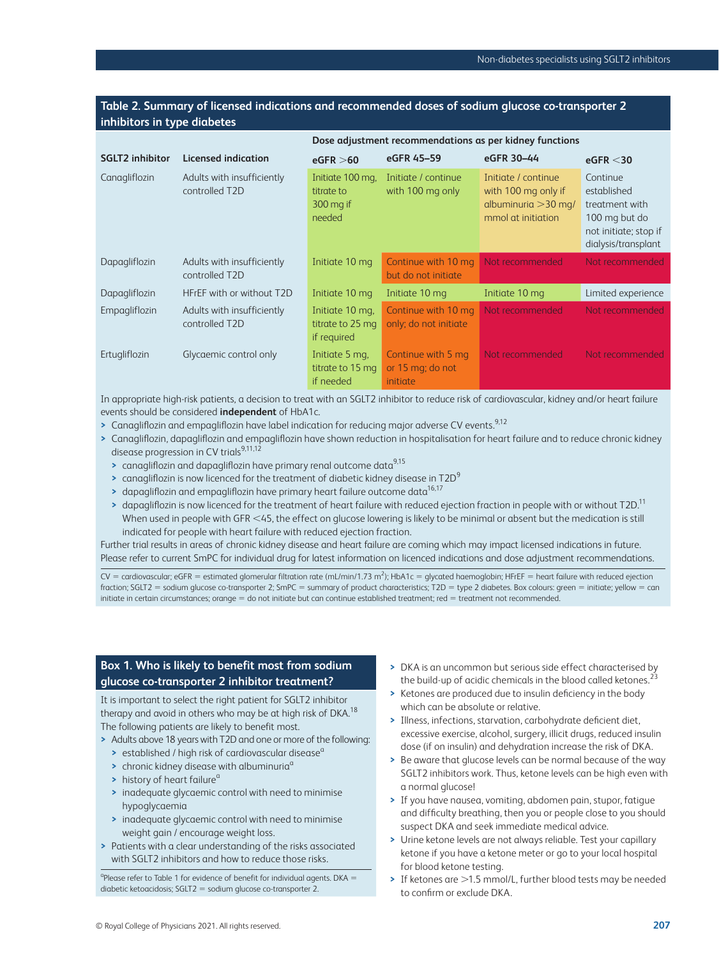# **Table 2. Summary of licensed indications and recommended doses of sodium glucose co-transporter 2 inhibitors in type diabetes**

**Dose adjustment recommendations as per kidney functions**

|                        |                                              |                                                         |                                                           | <u>Dose aujustment recommendations as per muney runctions</u>                              |                                                                                                            |
|------------------------|----------------------------------------------|---------------------------------------------------------|-----------------------------------------------------------|--------------------------------------------------------------------------------------------|------------------------------------------------------------------------------------------------------------|
| <b>SGLT2</b> inhibitor | <b>Licensed indication</b>                   | eGFR > 60                                               | eGFR 45-59                                                | eGFR 30-44                                                                                 | eGFR < 30                                                                                                  |
| Canagliflozin          | Adults with insufficiently<br>controlled T2D | Initiate 100 mg,<br>titrate to<br>$300$ mg if<br>needed | Initiate / continue<br>with 100 mg only                   | Initiate / continue<br>with 100 mg only if<br>albuminuria $>$ 30 mg/<br>mmol at initiation | Continue<br>established<br>treatment with<br>100 mg but do<br>not initiate; stop if<br>dialysis/transplant |
| Dapagliflozin          | Adults with insufficiently<br>controlled T2D | Initiate 10 mg                                          | Continue with 10 mg<br>but do not initiate                | Not recommended                                                                            | Not recommended                                                                                            |
| Dapagliflozin          | HFrEF with or without T2D                    | Initiate 10 mg                                          | Initiate 10 mg                                            | Initiate 10 mg                                                                             | Limited experience                                                                                         |
| Empagliflozin          | Adults with insufficiently<br>controlled T2D | Initiate 10 mg.<br>titrate to 25 mg<br>if required      | Continue with 10 mg<br>only; do not initiate              | Not recommended                                                                            | Not recommended                                                                                            |
| Ertugliflozin          | Glycaemic control only                       | Initiate 5 mg,<br>titrate to 15 mg<br>if needed         | Continue with 5 mg<br>or 15 mg; do not<br><i>initiate</i> | Not recommended                                                                            | Not recommended                                                                                            |

In appropriate high-risk patients, a decision to treat with an SGLT2 inhibitor to reduce risk of cardiovascular, kidney and/or heart failure events should be considered **independent** of HbA1c.

- > Canagliflozin and empagliflozin have label indication for reducing major adverse CV events.<sup>9,12</sup>
- **>** Canagliflozin, dapagliflozin and empagliflozin have shown reduction in hospitalisation for heart failure and to reduce chronic kidney disease progression in CV trials<sup>9,11,12</sup>
	- **>** canagliflozin and dapagliflozin have primary renal outcome data9,15
	- **>** canagliflozin is now licenced for the treatment of diabetic kidney disease in T2D<sup>9</sup>
	- > dapagliflozin and empagliflozin have primary heart failure outcome data<sup>16,17</sup>
	- **>** dapagliflozin is now licenced for the treatment of heart failure with reduced ejection fraction in people with or without T2D.11 When used in people with GFR <45, the effect on glucose lowering is likely to be minimal or absent but the medication is still indicated for people with heart failure with reduced ejection fraction.

Further trial results in areas of chronic kidney disease and heart failure are coming which may impact licensed indications in future. Please refer to current SmPC for individual drug for latest information on licenced indications and dose adjustment recommendations.

 $CV =$  cardiovascular; eGFR = estimated glomerular filtration rate (mL/min/1.73 m<sup>2</sup>); HbA1c = glycated haemoglobin; HFrEF = heart failure with reduced ejection fraction; SGLT2 = sodium glucose co-transporter 2; SmPC = summary of product characteristics; T2D = type 2 diabetes. Box colours: green = initiate; yellow = can  $initiate$  in certain circumstances; orange = do not initiate but can continue established treatment; red = treatment not recommended.

# **Box 1. Who is likely to benefit most from sodium glucose co-transporter 2 inhibitor treatment?**

It is important to select the right patient for SGLT2 inhibitor therapy and avoid in others who may be at high risk of DKA.<sup>18</sup> The following patients are likely to benefit most.

- **>** Adults above 18 years with T2D and one or more of the following:
	- > established / high risk of cardiovascular disease<sup>a</sup>
	- **>** chronic kidney disease with albuminuria<sup>a</sup>
	- **>** history of heart failure<sup>a</sup>
	- **>** inadequate glycaemic control with need to minimise hypoglycaemia
	- **>** inadequate glycaemic control with need to minimise weight gain / encourage weight loss.
- **>** Patients with a clear understanding of the risks associated with SGLT2 inhibitors and how to reduce those risks.

 $a$ Please refer to Table 1 for evidence of benefit for individual agents. DKA = diabetic ketoacidosis; SGLT2 = sodium glucose co-transporter 2.

- **>** DKA is an uncommon but serious side effect characterised by the build-up of acidic chemicals in the blood called ketones. $^{23}$
- **>** Ketones are produced due to insulin deficiency in the body which can be absolute or relative.
- **>** Illness, infections, starvation, carbohydrate deficient diet, excessive exercise, alcohol, surgery, illicit drugs, reduced insulin dose (if on insulin) and dehydration increase the risk of DKA.
- **>** Be aware that glucose levels can be normal because of the way SGLT2 inhibitors work. Thus, ketone levels can be high even with a normal glucose!
- **>** If you have nausea, vomiting, abdomen pain, stupor, fatigue and difficulty breathing, then you or people close to you should suspect DKA and seek immediate medical advice.
- **>** Urine ketone levels are not always reliable. Test your capillary ketone if you have a ketone meter or go to your local hospital for blood ketone testing.
- **>** If ketones are >1.5 mmol/L, further blood tests may be needed to confirm or exclude DKA.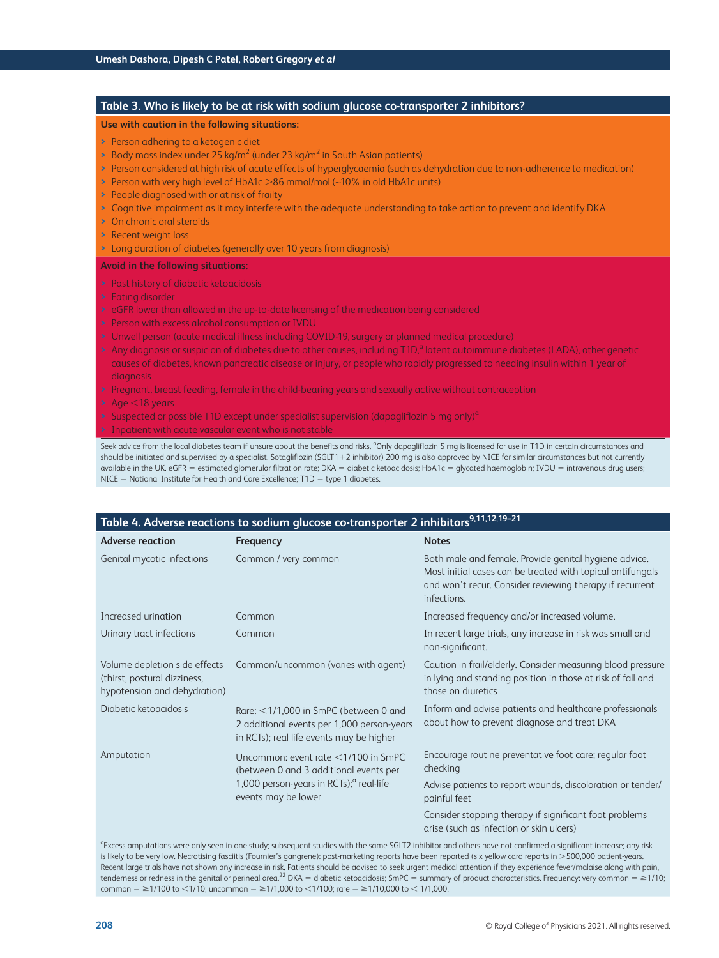# **Table 3. Who is likely to be at risk with sodium glucose co-transporter 2 inhibitors? Use with caution in the following situations: >** Person adhering to a ketogenic diet **>** Body mass index under 25 kg/m<sup>2</sup> (under 23 kg/m<sup>2</sup> in South Asian patients) **>** Person considered at high risk of acute effects of hyperglycaemia (such as dehydration due to non-adherence to medication) **>** Person with very high level of HbA1c >86 mmol/mol (∼10% in old HbA1c units) **>** People diagnosed with or at risk of frailty **>** Cognitive impairment as it may interfere with the adequate understanding to take action to prevent and identify DKA **>** On chronic oral steroids **>** Recent weight loss **>** Long duration of diabetes (generally over 10 years from diagnosis) **Avoid in the following situations: >** Past history of diabetic ketoacidosis **>** Eating disorder **>** eGFR lower than allowed in the up-to-date licensing of the medication being considered **>** Person with excess alcohol consumption or IVDU **>** Unwell person (acute medical illness including COVID-19, surgery or planned medical procedure) > Any diagnosis or suspicion of diabetes due to other causes, including T1D,<sup>a</sup> latent autoimmune diabetes (LADA), other genetic causes of diabetes, known pancreatic disease or injury, or people who rapidly progressed to needing insulin within 1 year of diagnosis **>** Pregnant, breast feeding, female in the child-bearing years and sexually active without contraception **>** Age <18 years **>** Suspected or possible T1D except under specialist supervision (dapagliflozin 5 mg only)<sup>a</sup> **>** Inpatient with acute vascular event who is not stable Seek advice from the local diabetes team if unsure about the benefits and risks. <sup>a</sup>Only dapagliflozin 5 mg is licensed for use in T1D in certain circumstances and

should be initiated and supervised by a specialist. Sotagliflozin (SGLT1+2 inhibitor) 200 mg is also approved by NICE for similar circumstances but not currently available in the UK. eGFR = estimated glomerular filtration rate; DKA = diabetic ketoacidosis; HbA1c = glycated haemoglobin; IVDU = intravenous drug users;  $NICE = National Institute for Health and Care Excellence; T1D = type 1 diabetes.$ 

| Table 4. Adverse reactions to sodium glucose co-transporter 2 inhibitors <sup>9,11,12,19–21</sup> |                                                                                                                                    |                                                                                                                                                                                                |  |  |  |  |
|---------------------------------------------------------------------------------------------------|------------------------------------------------------------------------------------------------------------------------------------|------------------------------------------------------------------------------------------------------------------------------------------------------------------------------------------------|--|--|--|--|
| <b>Adverse reaction</b>                                                                           | Frequency                                                                                                                          | <b>Notes</b>                                                                                                                                                                                   |  |  |  |  |
| Genital mycotic infections                                                                        | Common / very common                                                                                                               | Both male and female. Provide genital hygiene advice.<br>Most initial cases can be treated with topical antifungals<br>and won't recur. Consider reviewing therapy if recurrent<br>infections. |  |  |  |  |
| Increased urination                                                                               | Common                                                                                                                             | Increased frequency and/or increased volume.                                                                                                                                                   |  |  |  |  |
| Urinary tract infections                                                                          | Common                                                                                                                             | In recent large trials, any increase in risk was small and<br>non-significant.                                                                                                                 |  |  |  |  |
| Volume depletion side effects<br>(thirst, postural dizziness,<br>hypotension and dehydration)     | Common/uncommon (varies with agent)                                                                                                | Caution in frail/elderly. Consider measuring blood pressure<br>in lying and standing position in those at risk of fall and<br>those on diuretics                                               |  |  |  |  |
| Diabetic ketoacidosis                                                                             | Rare: $<$ 1/1,000 in SmPC (between 0 and<br>2 additional events per 1,000 person-years<br>in RCTs); real life events may be higher | Inform and advise patients and healthcare professionals<br>about how to prevent diagnose and treat DKA                                                                                         |  |  |  |  |
| Amputation                                                                                        | Uncommon: event rate <1/100 in SmPC<br>(between 0 and 3 additional events per                                                      | Encourage routine preventative foot care; regular foot<br>checking                                                                                                                             |  |  |  |  |
|                                                                                                   | 1,000 person-years in RCTs); <sup>a</sup> real-life<br>events may be lower                                                         | Advise patients to report wounds, discoloration or tender/<br>painful feet                                                                                                                     |  |  |  |  |
|                                                                                                   |                                                                                                                                    | Consider stopping therapy if significant foot problems<br>arise (such as infection or skin ulcers)                                                                                             |  |  |  |  |

<sup>a</sup>Excess amputations were only seen in one study; subsequent studies with the same SGLT2 inhibitor and others have not confirmed a significant increase; any risk is likely to be very low. Necrotising fasciitis (Fournier's gangrene): post-marketing reports have been reported (six yellow card reports in >500,000 patient-years. Recent large trials have not shown any increase in risk. Patients should be advised to seek urgent medical attention if they experience fever/malaise along with pain, tenderness or redness in the genital or perineal area.<sup>22</sup> DKA = diabetic ketoacidosis; SmPC = summary of product characteristics. Frequency: very common =  $\geq$ 1/10; common = ≥1/100 to <1/10; uncommon = ≥1/1,000 to <1/100; rare = ≥1/10,000 to < 1/1,000.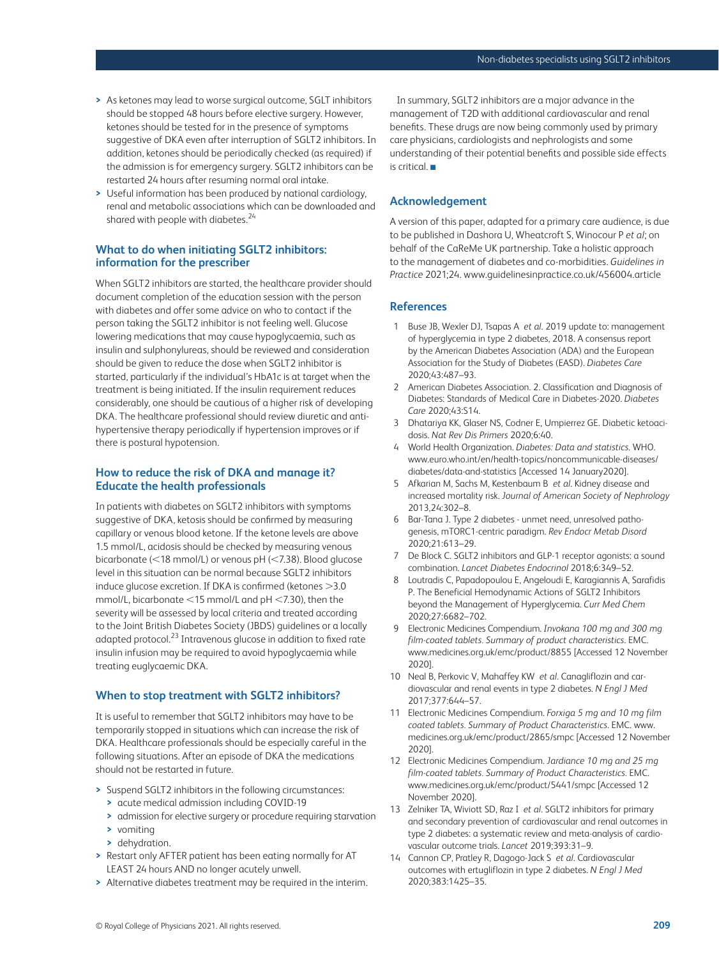- **>** As ketones may lead to worse surgical outcome, SGLT inhibitors should be stopped 48 hours before elective surgery. However, ketones should be tested for in the presence of symptoms suggestive of DKA even after interruption of SGLT2 inhibitors. In addition, ketones should be periodically checked (as required) if the admission is for emergency surgery. SGLT2 inhibitors can be restarted 24 hours after resuming normal oral intake.
- **>** Useful information has been produced by national cardiology, renal and metabolic associations which can be downloaded and shared with people with diabetes.<sup>24</sup>

# **What to do when initiating SGLT2 inhibitors: information for the prescriber**

When SGLT2 inhibitors are started, the healthcare provider should document completion of the education session with the person with diabetes and offer some advice on who to contact if the person taking the SGLT2 inhibitor is not feeling well. Glucose lowering medications that may cause hypoglycaemia, such as insulin and sulphonylureas, should be reviewed and consideration should be given to reduce the dose when SGLT2 inhibitor is started, particularly if the individual's HbA1c is at target when the treatment is being initiated. If the insulin requirement reduces considerably, one should be cautious of a higher risk of developing DKA. The healthcare professional should review diuretic and antihypertensive therapy periodically if hypertension improves or if there is postural hypotension.

# **How to reduce the risk of DKA and manage it? Educate the health professionals**

In patients with diabetes on SGLT2 inhibitors with symptoms suggestive of DKA, ketosis should be confirmed by measuring capillary or venous blood ketone. If the ketone levels are above 1.5 mmol/L, acidosis should be checked by measuring venous bicarbonate (<18 mmol/L) or venous pH (<7.38). Blood glucose level in this situation can be normal because SGLT2 inhibitors induce glucose excretion. If DKA is confirmed (ketones >3.0 mmol/L, bicarbonate <15 mmol/L and pH <7.30), then the severity will be assessed by local criteria and treated according to the Joint British Diabetes Society (JBDS) guidelines or a locally adapted protocol.<sup>23</sup> Intravenous glucose in addition to fixed rate insulin infusion may be required to avoid hypoglycaemia while treating euglycaemic DKA.

## **When to stop treatment with SGLT2 inhibitors?**

It is useful to remember that SGLT2 inhibitors may have to be temporarily stopped in situations which can increase the risk of DKA. Healthcare professionals should be especially careful in the following situations. After an episode of DKA the medications should not be restarted in future.

- **>** Suspend SGLT2 inhibitors in the following circumstances:
	- **>** acute medical admission including COVID-19
	- **>** admission for elective surgery or procedure requiring starvation
	- **>** vomiting
	- **>** dehydration.
- **>** Restart only AFTER patient has been eating normally for AT LEAST 24 hours AND no longer acutely unwell.
- **>** Alternative diabetes treatment may be required in the interim.

In summary, SGLT2 inhibitors are a major advance in the management of T2D with additional cardiovascular and renal benefits. These drugs are now being commonly used by primary care physicians, cardiologists and nephrologists and some understanding of their potential benefits and possible side effects is critical. ■

## **Acknowledgement**

A version of this paper, adapted for a primary care audience, is due to be published in Dashora U, Wheatcroft S, Winocour P *et al*; on behalf of the CaReMe UK partnership. Take a holistic approach to the management of diabetes and co-morbidities. *Guidelines in Practice* 2021;24[. www.guidelinesinpractice.co.uk/456004.article](http://www.guidelinesinpractice.co.uk/456004.article)

## **References**

- 1 Buse JB, Wexler DJ, Tsapas A *et al*. 2019 update to: management of hyperglycemia in type 2 diabetes, 2018. A consensus report by the American Diabetes Association (ADA) and the European Association for the Study of Diabetes (EASD). *Diabetes Care* 2020;43:487–93.
- 2 American Diabetes Association. 2. Classification and Diagnosis of Diabetes: Standards of Medical Care in Diabetes-2020. *Diabetes Care* 2020;43:S14.
- 3 Dhatariya KK, Glaser NS, Codner E, Umpierrez GE. Diabetic ketoacidosis. *Nat Rev Dis Primers* 2020;6:40.
- 4 World Health Organization. *Diabetes: Data and statistics*. WHO. [www.euro.who.int/en/health-topics/noncommunicable-diseases/](http://www.euro.who.int/en/health-topics/noncommunicable-diseases/diabetes/data-and-statistics) diabetes/data-and-statistics [Accessed 14 January2020].
- 5 Afkarian M, Sachs M, Kestenbaum B *et al*. Kidney disease and increased mortality risk. *Journal of American Society of Nephrology* 2013,24:302–8.
- 6 Bar-Tana J. Type 2 diabetes unmet need, unresolved pathogenesis, mTORC1-centric paradigm. *Rev Endocr Metab Disord* 2020;21:613–29.
- 7 De Block C. SGLT2 inhibitors and GLP-1 receptor agonists: a sound combination. *Lancet Diabetes Endocrinol* 2018;6:349–52.
- 8 Loutradis C, Papadopoulou E, Angeloudi E, Karagiannis A, Sarafidis P. The Beneficial Hemodynamic Actions of SGLT2 Inhibitors beyond the Management of Hyperglycemia. *Curr Med Chem* 2020;27:6682–702.
- 9 Electronic Medicines Compendium. *Invokana 100 mg and 300 mg film-coated tablets. Summary of product characteristics*. EMC. [www.medicines.org.uk/emc/product/8855](http://www.medicines.org.uk/emc/product/8855) [Accessed 12 November 2020].
- 10 Neal B, Perkovic V, Mahaffey KW *et al*. Canagliflozin and cardiovascular and renal events in type 2 diabetes. *N Engl J Med* 2017;377:644–57.
- 11 Electronic Medicines Compendium. *Forxiga 5 mg and 10 mg film coated tablets. Summary of Product Characteristics*. EMC. www. [medicines.org.uk/emc/product/2865/smpc \[Accessed 12 Novem](http://www.medicines.org.uk/emc/product/2865/smpc)ber 2020].
- 12 Electronic Medicines Compendium. *Jardiance 10 mg and 25 mg film-coated tablets. Summary of Product Characteristics.* EMC. [www.medicines.org.uk/emc/product/5441/smpc \[A](http://www.medicines.org.uk/emc/product/5441/smpc)ccessed 12 November 2020].
- 13 Zelniker TA, Wiviott SD, Raz I *et al*. SGLT2 inhibitors for primary and secondary prevention of cardiovascular and renal outcomes in type 2 diabetes: a systematic review and meta-analysis of cardiovascular outcome trials. *Lancet* 2019;393:31–9.
- 14 Cannon CP, Pratley R, Dagogo-Jack S *et al*. Cardiovascular outcomes with ertugliflozin in type 2 diabetes. *N Engl J Med* 2020;383:1425–35.